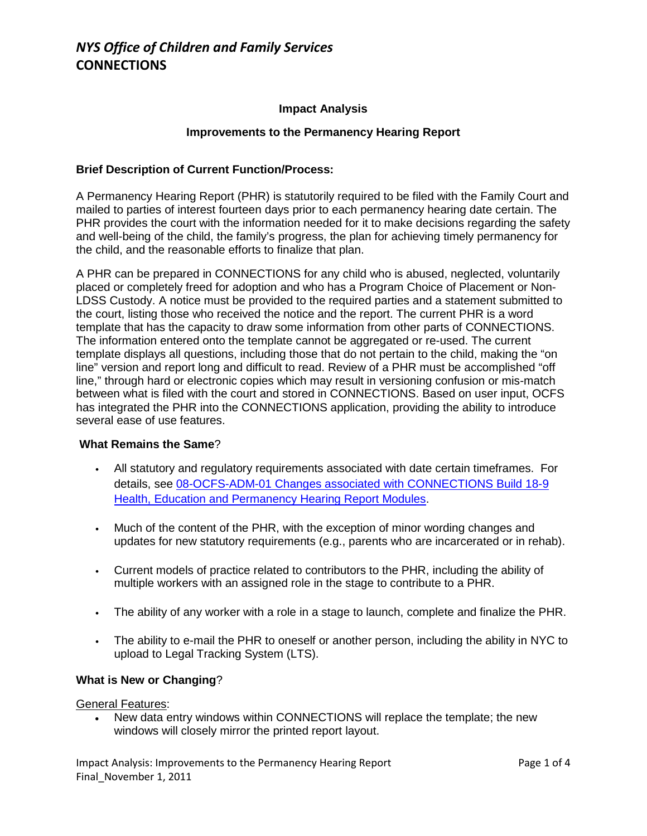## **Impact Analysis**

#### **Improvements to the Permanency Hearing Report**

## **Brief Description of Current Function/Process:**

A Permanency Hearing Report (PHR) is statutorily required to be filed with the Family Court and mailed to parties of interest fourteen days prior to each permanency hearing date certain. The PHR provides the court with the information needed for it to make decisions regarding the safety and well-being of the child, the family's progress, the plan for achieving timely permanency for the child, and the reasonable efforts to finalize that plan.

A PHR can be prepared in CONNECTIONS for any child who is abused, neglected, voluntarily placed or completely freed for adoption and who has a Program Choice of Placement or Non-LDSS Custody. A notice must be provided to the required parties and a statement submitted to the court, listing those who received the notice and the report. The current PHR is a word template that has the capacity to draw some information from other parts of CONNECTIONS. The information entered onto the template cannot be aggregated or re-used. The current template displays all questions, including those that do not pertain to the child, making the "on line" version and report long and difficult to read. Review of a PHR must be accomplished "off line," through hard or electronic copies which may result in versioning confusion or mis-match between what is filed with the court and stored in CONNECTIONS. Based on user input, OCFS has integrated the PHR into the CONNECTIONS application, providing the ability to introduce several ease of use features.

#### **What Remains the Same**?

- All statutory and regulatory requirements associated with date certain timeframes. For details, see [08-OCFS-ADM-01 Changes associated with CONNECTIONS Build 18-9](http://ocfs.state.nyenet/policies/external/OCFS_2008/ADMs/08-OCFS-ADM-01%20Changes%20associated%20with%20CONNECTIONS%20Build%2018-9%20Health,%20Education%20and%20Permanency%20Hearing%20Report%20Modules.pdf)  [Health, Education and Permanency Hearing Report Modules.](http://ocfs.state.nyenet/policies/external/OCFS_2008/ADMs/08-OCFS-ADM-01%20Changes%20associated%20with%20CONNECTIONS%20Build%2018-9%20Health,%20Education%20and%20Permanency%20Hearing%20Report%20Modules.pdf)
- Much of the content of the PHR, with the exception of minor wording changes and updates for new statutory requirements (e.g., parents who are incarcerated or in rehab).
- Current models of practice related to contributors to the PHR, including the ability of multiple workers with an assigned role in the stage to contribute to a PHR.
- The ability of any worker with a role in a stage to launch, complete and finalize the PHR.
- The ability to e-mail the PHR to oneself or another person, including the ability in NYC to upload to Legal Tracking System (LTS).

## **What is New or Changing**?

General Features:

• New data entry windows within CONNECTIONS will replace the template; the new windows will closely mirror the printed report layout.

Impact Analysis: Improvements to the Permanency Hearing Report Page 1 of 4 Final November 1, 2011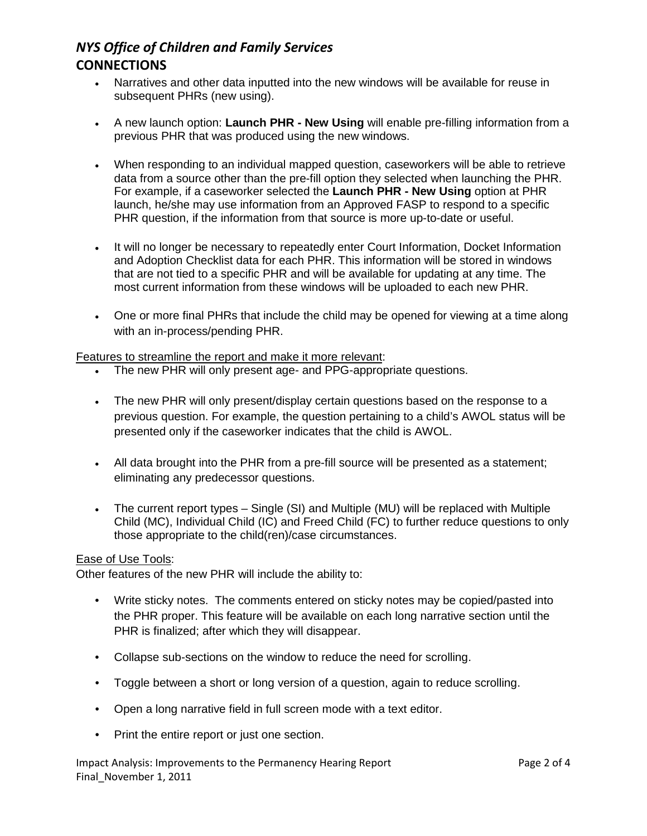# *NYS Office of Children and Family Services* **CONNECTIONS**

- Narratives and other data inputted into the new windows will be available for reuse in subsequent PHRs (new using).
- A new launch option: **Launch PHR - New Using** will enable pre-filling information from a previous PHR that was produced using the new windows.
- When responding to an individual mapped question, caseworkers will be able to retrieve data from a source other than the pre-fill option they selected when launching the PHR. For example, if a caseworker selected the **Launch PHR - New Using** option at PHR launch, he/she may use information from an Approved FASP to respond to a specific PHR question, if the information from that source is more up-to-date or useful.
- It will no longer be necessary to repeatedly enter Court Information, Docket Information and Adoption Checklist data for each PHR. This information will be stored in windows that are not tied to a specific PHR and will be available for updating at any time. The most current information from these windows will be uploaded to each new PHR.
- One or more final PHRs that include the child may be opened for viewing at a time along with an in-process/pending PHR.

## Features to streamline the report and make it more relevant:

- The new PHR will only present age- and PPG-appropriate questions.
- The new PHR will only present/display certain questions based on the response to a previous question. For example, the question pertaining to a child's AWOL status will be presented only if the caseworker indicates that the child is AWOL.
- All data brought into the PHR from a pre-fill source will be presented as a statement; eliminating any predecessor questions.
- The current report types Single (SI) and Multiple (MU) will be replaced with Multiple Child (MC), Individual Child (IC) and Freed Child (FC) to further reduce questions to only those appropriate to the child(ren)/case circumstances.

#### Ease of Use Tools:

Other features of the new PHR will include the ability to:

- Write sticky notes. The comments entered on sticky notes may be copied/pasted into the PHR proper. This feature will be available on each long narrative section until the PHR is finalized; after which they will disappear.
- Collapse sub-sections on the window to reduce the need for scrolling.
- Toggle between a short or long version of a question, again to reduce scrolling.
- Open a long narrative field in full screen mode with a text editor.
- Print the entire report or just one section.

Impact Analysis: Improvements to the Permanency Hearing Report Page 2 of 4 Final\_November 1, 2011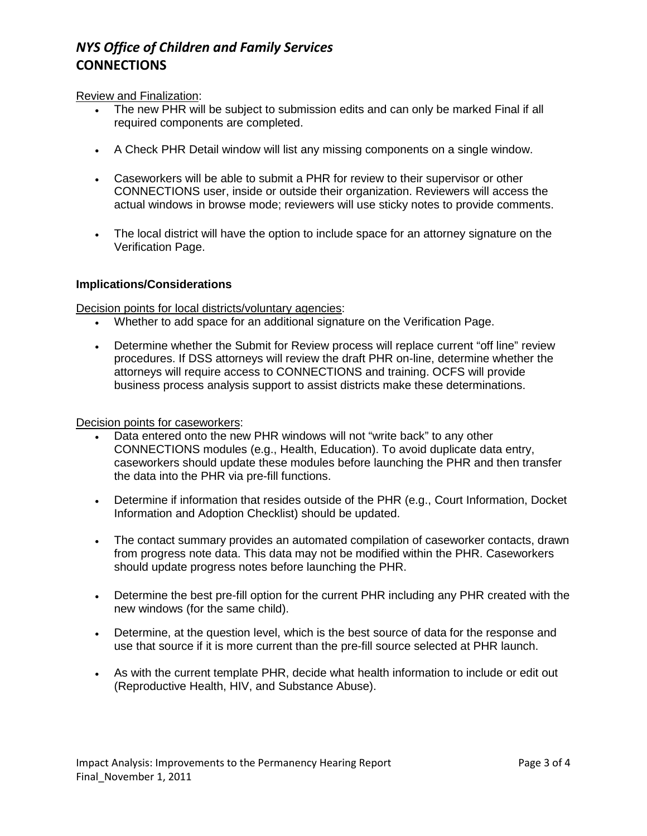# *NYS Office of Children and Family Services* **CONNECTIONS**

## Review and Finalization:

- The new PHR will be subject to submission edits and can only be marked Final if all required components are completed.
- A Check PHR Detail window will list any missing components on a single window.
- Caseworkers will be able to submit a PHR for review to their supervisor or other CONNECTIONS user, inside or outside their organization. Reviewers will access the actual windows in browse mode; reviewers will use sticky notes to provide comments.
- The local district will have the option to include space for an attorney signature on the Verification Page.

## **Implications/Considerations**

Decision points for local districts/voluntary agencies:

- Whether to add space for an additional signature on the Verification Page.
- Determine whether the Submit for Review process will replace current "off line" review procedures. If DSS attorneys will review the draft PHR on-line, determine whether the attorneys will require access to CONNECTIONS and training. OCFS will provide business process analysis support to assist districts make these determinations.

#### Decision points for caseworkers:

- Data entered onto the new PHR windows will not "write back" to any other CONNECTIONS modules (e.g., Health, Education). To avoid duplicate data entry, caseworkers should update these modules before launching the PHR and then transfer the data into the PHR via pre-fill functions.
- Determine if information that resides outside of the PHR (e.g., Court Information, Docket Information and Adoption Checklist) should be updated.
- The contact summary provides an automated compilation of caseworker contacts, drawn from progress note data. This data may not be modified within the PHR. Caseworkers should update progress notes before launching the PHR.
- Determine the best pre-fill option for the current PHR including any PHR created with the new windows (for the same child).
- Determine, at the question level, which is the best source of data for the response and use that source if it is more current than the pre-fill source selected at PHR launch.
- As with the current template PHR, decide what health information to include or edit out (Reproductive Health, HIV, and Substance Abuse).